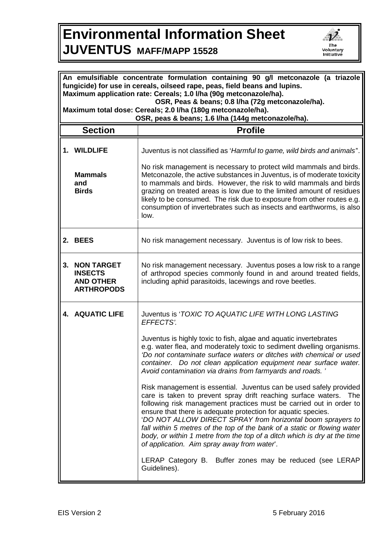## **Environmental Information Sheet JUVENTUS MAFF/MAPP 15528**



| An emulsifiable concentrate formulation containing 90 g/l metconazole (a triazole<br>fungicide) for use in cereals, oilseed rape, peas, field beans and lupins.<br>Maximum application rate: Cereals; 1.0 I/ha (90g metconazole/ha).<br>OSR, Peas & beans; 0.8 I/ha (72g metconazole/ha).<br>Maximum total dose: Cereals; 2.0 I/ha (180g metconazole/ha).<br>OSR, peas & beans; 1.6 I/ha (144g metconazole/ha). |                                                                              |                                                                                                                                                                                                                                                                                                                                                                                                                                                                                                                                                                                                                                                                                                                                                                                                                                                                                                                                                                                                                                                                 |  |
|-----------------------------------------------------------------------------------------------------------------------------------------------------------------------------------------------------------------------------------------------------------------------------------------------------------------------------------------------------------------------------------------------------------------|------------------------------------------------------------------------------|-----------------------------------------------------------------------------------------------------------------------------------------------------------------------------------------------------------------------------------------------------------------------------------------------------------------------------------------------------------------------------------------------------------------------------------------------------------------------------------------------------------------------------------------------------------------------------------------------------------------------------------------------------------------------------------------------------------------------------------------------------------------------------------------------------------------------------------------------------------------------------------------------------------------------------------------------------------------------------------------------------------------------------------------------------------------|--|
|                                                                                                                                                                                                                                                                                                                                                                                                                 | <b>Section</b>                                                               | <b>Profile</b>                                                                                                                                                                                                                                                                                                                                                                                                                                                                                                                                                                                                                                                                                                                                                                                                                                                                                                                                                                                                                                                  |  |
|                                                                                                                                                                                                                                                                                                                                                                                                                 | 1. WILDLIFE<br><b>Mammals</b><br>and<br><b>Birds</b>                         | Juventus is not classified as 'Harmful to game, wild birds and animals".<br>No risk management is necessary to protect wild mammals and birds.<br>Metconazole, the active substances in Juventus, is of moderate toxicity<br>to mammals and birds. However, the risk to wild mammals and birds<br>grazing on treated areas is low due to the limited amount of residues<br>likely to be consumed. The risk due to exposure from other routes e.g.<br>consumption of invertebrates such as insects and earthworms, is also<br>low.                                                                                                                                                                                                                                                                                                                                                                                                                                                                                                                               |  |
|                                                                                                                                                                                                                                                                                                                                                                                                                 | 2. BEES                                                                      | No risk management necessary. Juventus is of low risk to bees.                                                                                                                                                                                                                                                                                                                                                                                                                                                                                                                                                                                                                                                                                                                                                                                                                                                                                                                                                                                                  |  |
| 3.                                                                                                                                                                                                                                                                                                                                                                                                              | <b>NON TARGET</b><br><b>INSECTS</b><br><b>AND OTHER</b><br><b>ARTHROPODS</b> | No risk management necessary. Juventus poses a low risk to a range<br>of arthropod species commonly found in and around treated fields,<br>including aphid parasitoids, lacewings and rove beetles.                                                                                                                                                                                                                                                                                                                                                                                                                                                                                                                                                                                                                                                                                                                                                                                                                                                             |  |
|                                                                                                                                                                                                                                                                                                                                                                                                                 | <b>4. AQUATIC LIFE</b>                                                       | Juventus is 'TOXIC TO AQUATIC LIFE WITH LONG LASTING<br>EFFECTS'.<br>Juventus is highly toxic to fish, algae and aquatic invertebrates<br>e.g. water flea, and moderately toxic to sediment dwelling organisms.<br>'Do not contaminate surface waters or ditches with chemical or used<br>container. Do not clean application equipment near surface water.<br>Avoid contamination via drains from farmyards and roads.'<br>Risk management is essential. Juventus can be used safely provided<br>care is taken to prevent spray drift reaching surface waters.<br>The<br>following risk management practices must be carried out in order to<br>ensure that there is adequate protection for aquatic species.<br>'DO NOT ALLOW DIRECT SPRAY from horizontal boom sprayers to<br>fall within 5 metres of the top of the bank of a static or flowing water<br>body, or within 1 metre from the top of a ditch which is dry at the time<br>of application. Aim spray away from water.<br>LERAP Category B. Buffer zones may be reduced (see LERAP<br>Guidelines). |  |